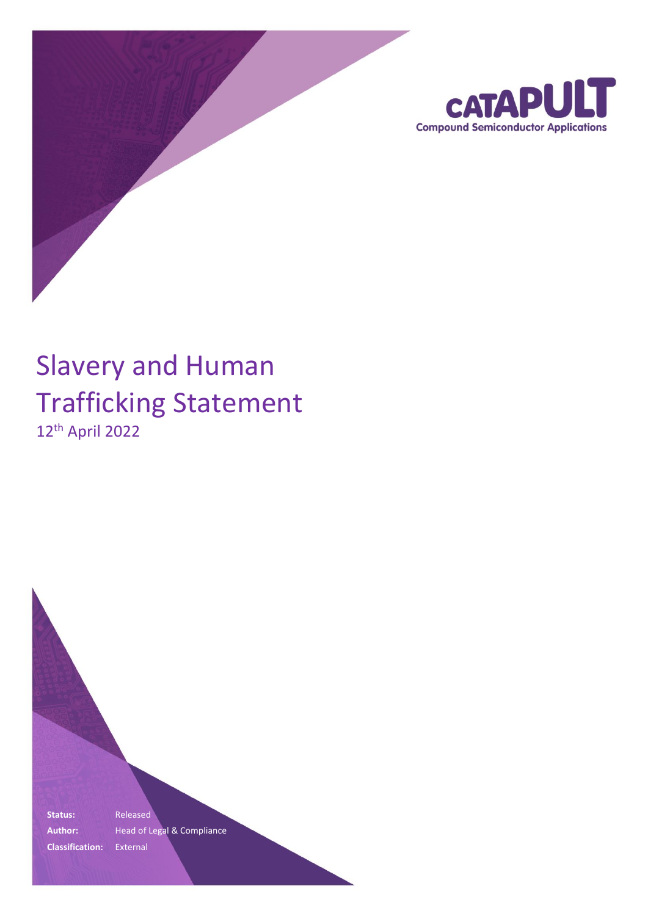

# Slavery and Human Trafficking Statement 12th April 2022

**Status:** Released Author: **Head of Legal & Compliance Classification:** External